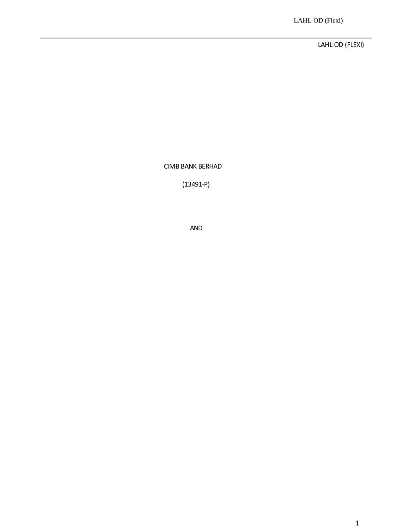LAHL OD (FLEXI)

CIMB BANK BERHAD

(13491-P)

AND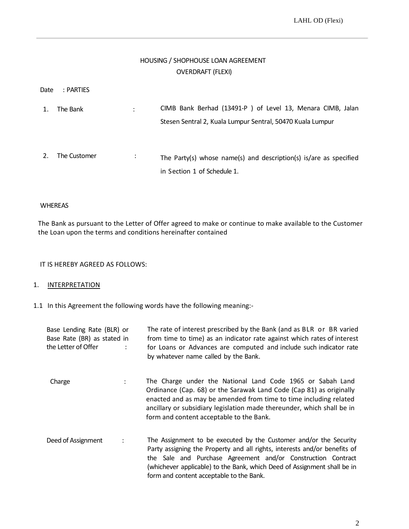# HOUSING / SHOPHOUSE LOAN AGREEMENT OVERDRAFT (FLEXI)

| Date | : PARTIES    |                      |                                                                                                                          |
|------|--------------|----------------------|--------------------------------------------------------------------------------------------------------------------------|
|      | The Bank     | $\ddot{\phantom{a}}$ | CIMB Bank Berhad (13491-P) of Level 13, Menara CIMB, Jalan<br>Stesen Sentral 2, Kuala Lumpur Sentral, 50470 Kuala Lumpur |
|      | The Customer | $\cdot$              | The Party(s) whose name(s) and description(s) is/are as specified<br>in Section 1 of Schedule 1.                         |

# WHEREAS

The Bank as pursuant to the Letter of Offer agreed to make or continue to make available to the Customer the Loan upon the terms and conditions hereinafter contained

IT IS HEREBY AGREED AS FOLLOWS:

# 1. **INTERPRETATION**

1.1 In this Agreement the following words have the following meaning:-

| Base Lending Rate (BLR) or<br>Base Rate (BR) as stated in<br>the Letter of Offer |                      | The rate of interest prescribed by the Bank (and as BLR or BR varied<br>from time to time) as an indicator rate against which rates of interest<br>for Loans or Advances are computed and include such indicator rate<br>by whatever name called by the Bank.                                                                          |
|----------------------------------------------------------------------------------|----------------------|----------------------------------------------------------------------------------------------------------------------------------------------------------------------------------------------------------------------------------------------------------------------------------------------------------------------------------------|
| Charge                                                                           | $\ddot{\phantom{a}}$ | The Charge under the National Land Code 1965 or Sabah Land<br>Ordinance (Cap. 68) or the Sarawak Land Code (Cap 81) as originally<br>enacted and as may be amended from time to time including related<br>ancillary or subsidiary legislation made thereunder, which shall be in<br>form and content acceptable to the Bank.           |
| Deed of Assignment                                                               | $\ddot{\cdot}$       | The Assignment to be executed by the Customer and/or the Security<br>Party assigning the Property and all rights, interests and/or benefits of<br>the Sale and Purchase Agreement and/or Construction Contract<br>(whichever applicable) to the Bank, which Deed of Assignment shall be in<br>form and content acceptable to the Bank. |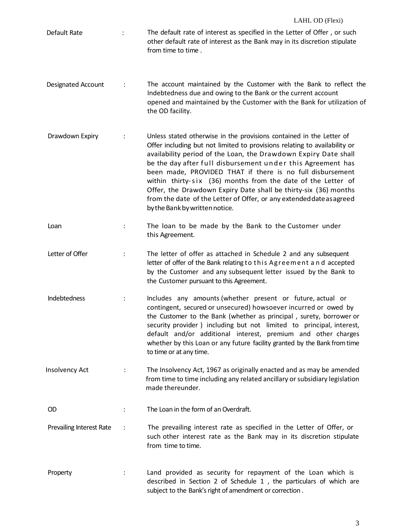| Default Rate             | $\ddot{\phantom{a}}$ | The default rate of interest as specified in the Letter of Offer, or such<br>other default rate of interest as the Bank may in its discretion stipulate<br>from time to time.                                                                                                                                                                                                                                                                                                                                                                                                                 |
|--------------------------|----------------------|-----------------------------------------------------------------------------------------------------------------------------------------------------------------------------------------------------------------------------------------------------------------------------------------------------------------------------------------------------------------------------------------------------------------------------------------------------------------------------------------------------------------------------------------------------------------------------------------------|
| Designated Account       |                      | The account maintained by the Customer with the Bank to reflect the<br>Indebtedness due and owing to the Bank or the current account<br>opened and maintained by the Customer with the Bank for utilization of<br>the OD facility.                                                                                                                                                                                                                                                                                                                                                            |
| Drawdown Expiry          |                      | Unless stated otherwise in the provisions contained in the Letter of<br>Offer including but not limited to provisions relating to availability or<br>availability period of the Loan, the Drawdown Expiry Date shall<br>be the day after full disbursement under this Agreement has<br>been made, PROVIDED THAT if there is no full disbursement<br>within thirty-six (36) months from the date of the Letter of<br>Offer, the Drawdown Expiry Date shall be thirty-six (36) months<br>from the date of the Letter of Offer, or any extended date as agreed<br>by the Bank by written notice. |
| Loan                     |                      | The loan to be made by the Bank to the Customer under<br>this Agreement.                                                                                                                                                                                                                                                                                                                                                                                                                                                                                                                      |
| Letter of Offer          |                      | The letter of offer as attached in Schedule 2 and any subsequent<br>letter of offer of the Bank relating to this Agreement and accepted<br>by the Customer and any subsequent letter issued by the Bank to<br>the Customer pursuant to this Agreement.                                                                                                                                                                                                                                                                                                                                        |
| Indebtedness             |                      | Includes any amounts (whether present or future, actual or<br>contingent, secured or unsecured) howsoever incurred or owed by<br>the Customer to the Bank (whether as principal, surety, borrower or<br>security provider) including but not limited to principal, interest,<br>default and/or additional interest, premium and other charges<br>whether by this Loan or any future facility granted by the Bank from time<br>to time or at any time.                                                                                                                                         |
| Insolvency Act           |                      | The Insolvency Act, 1967 as originally enacted and as may be amended<br>from time to time including any related ancillary or subsidiary legislation<br>made thereunder.                                                                                                                                                                                                                                                                                                                                                                                                                       |
| <b>OD</b>                |                      | The Loan in the form of an Overdraft.                                                                                                                                                                                                                                                                                                                                                                                                                                                                                                                                                         |
| Prevailing Interest Rate | $\ddot{\cdot}$       | The prevailing interest rate as specified in the Letter of Offer, or<br>such other interest rate as the Bank may in its discretion stipulate<br>from time to time.                                                                                                                                                                                                                                                                                                                                                                                                                            |
| Property                 |                      | Land provided as security for repayment of the Loan which is<br>described in Section 2 of Schedule 1, the particulars of which are<br>subject to the Bank's right of amendment or correction.                                                                                                                                                                                                                                                                                                                                                                                                 |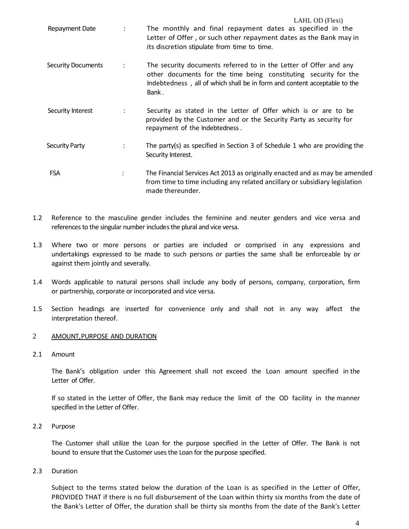|                           |                      | LAHL OD (Flexi)                                                                                                                                                                                                             |
|---------------------------|----------------------|-----------------------------------------------------------------------------------------------------------------------------------------------------------------------------------------------------------------------------|
| Repayment Date            | $\ddot{\phantom{0}}$ | The monthly and final repayment dates as specified in the<br>Letter of Offer, or such other repayment dates as the Bank may in<br>its discretion stipulate from time to time.                                               |
| <b>Security Documents</b> |                      | The security documents referred to in the Letter of Offer and any<br>other documents for the time being constituting security for the<br>Indebtedness, all of which shall be in form and content acceptable to the<br>Bank. |
| Security Interest         | $\ddot{\phantom{0}}$ | Security as stated in the Letter of Offer which is or are to be<br>provided by the Customer and or the Security Party as security for<br>repayment of the Indebtedness.                                                     |
| <b>Security Party</b>     |                      | The party(s) as specified in Section 3 of Schedule 1 who are providing the<br>Security Interest.                                                                                                                            |
| <b>FSA</b>                | $\ddot{\cdot}$       | The Financial Services Act 2013 as originally enacted and as may be amended<br>from time to time including any related ancillary or subsidiary legislation<br>made thereunder.                                              |

- 1.2 Reference to the masculine gender includes the feminine and neuter genders and vice versa and references to the singular number includes the plural and vice versa.
- 1.3 Where two or more persons or parties are included or comprised in any expressions and undertakings expressed to be made to such persons or parties the same shall be enforceable by or against them jointly and severally.
- 1.4 Words applicable to natural persons shall include any body of persons, company, corporation, firm or partnership, corporate or incorporated and vice versa.
- 1.5 Section headings are inserted for convenience only and shall not in any way affect the interpretation thereof.

# 2 AMOUNT, PURPOSE AND DURATION

2.1 Amount

The Bank's obligation under this Agreement shall not exceed the Loan amount specified in the Letter of Offer.

If so stated in the Letter of Offer, the Bank may reduce the limit of the OD facility in the manner specified in the Letter of Offer.

2.2 Purpose

The Customer shall utilize the Loan for the purpose specified in the Letter of Offer. The Bank is not bound to ensure that the Customer uses the Loan for the purpose specified.

2.3 Duration

Subject to the terms stated below the duration of the Loan is as specified in the Letter of Offer, PROVIDED THAT if there is no full disbursement of the Loan within thirty six months from the date of the Bank's Letter of Offer, the duration shall be thirty six months from the date of the Bank's Letter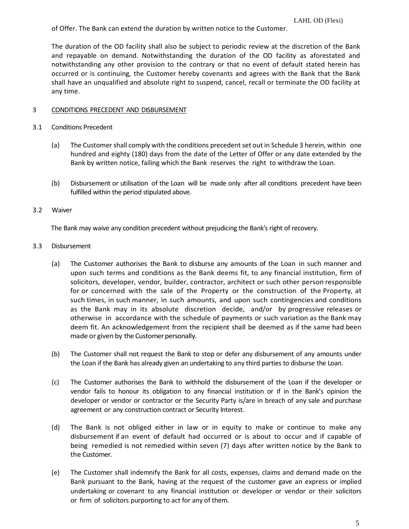of Offer. The Bank can extend the duration by written notice to the Customer.

The duration of the OD facility shall also be subject to periodic review at the discretion of the Bank and repayable on demand. Notwithstanding the duration of the OD facility as aforestated and notwithstanding any other provision to the contrary or that no event of default stated herein has occurred or is continuing, the Customer hereby covenants and agrees with the Bank that the Bank shall have an unqualified and absolute right to suspend, cancel, recall or terminate the OD facility at any time.

### 3 CONDITIONS PRECEDENT AND DISBURSEMENT

### 3.1 Conditions Precedent

- (a) The Customershall comply with the conditions precedent set out in Schedule 3 herein, within one hundred and eighty (180) days from the date of the Letter of Offer or any date extended by the Bank by written notice, failing which the Bank reserves the right to withdraw the Loan.
- (b) Disbursement or utilisation of the Loan will be made only after all conditions precedent have been fulfilled within the period stipulated above.

#### 3.2 Waiver

The Bank may waive any condition precedent without prejudicing the Bank's right of recovery.

# 3.3 Disbursement

- (a) The Customer authorises the Bank to disburse any amounts of the Loan in such manner and upon such terms and conditions as the Bank deems fit, to any financial institution, firm of solicitors, developer, vendor, builder, contractor, architect or such other person responsible for or concerned with the sale of the Property or the construction of the Property, at such times, in such manner, in such amounts, and upon such contingencies and conditions as the Bank may in its absolute discretion decide, and/or by progressive releases or otherwise in accordance with the schedule of payments or such variation as the Bank may deem fit. An acknowledgement from the recipient shall be deemed as if the same had been made or given by the Customer personally.
- (b) The Customer shall not request the Bank to stop or defer any disbursement of any amounts under the Loan if the Bank has already given an undertaking to any third parties to disburse the Loan.
- (c) The Customer authorises the Bank to withhold the disbursement of the Loan if the developer or vendor fails to honour its obligation to any financial institution or if in the Bank's opinion the developer or vendor or contractor or the Security Party is/are in breach of any sale and purchase agreement or any construction contract or Security Interest.
- (d) The Bank is not obliged either in law or in equity to make or continue to make any disbursement if an event of default had occurred or is about to occur and if capable of being remedied is not remedied within seven (7) days after written notice by the Bank to the Customer.
- (e) The Customer shall indemnify the Bank for all costs, expenses, claims and demand made on the Bank pursuant to the Bank, having at the request of the customer gave an express or implied undertaking or covenant to any financial institution or developer or vendor or their solicitors or firm of solicitors purporting to act for any of them.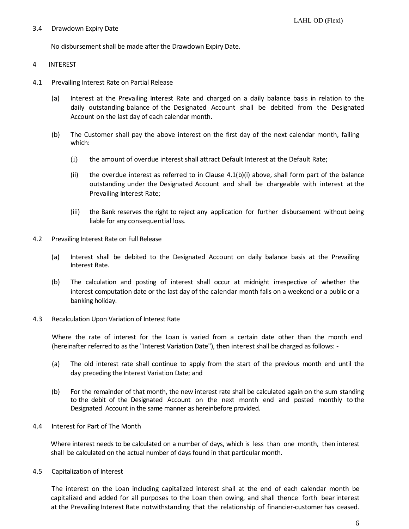### 3.4 Drawdown Expiry Date

No disbursement shall be made after the Drawdown Expiry Date.

# 4 INTEREST

- 4.1 Prevailing Interest Rate on Partial Release
	- (a) Interest at the Prevailing Interest Rate and charged on a daily balance basis in relation to the daily outstanding balance of the Designated Account shall be debited from the Designated Account on the last day of each calendar month.
	- (b) The Customer shall pay the above interest on the first day of the next calendar month, failing which:
		- (i) the amount of overdue interest shall attract Default Interest at the Default Rate;
		- (ii) the overdue interest as referred to in Clause  $4.1(b)(i)$  above, shall form part of the balance outstanding under the Designated Account and shall be chargeable with interest at the Prevailing Interest Rate;
		- (iii) the Bank reserves the right to reject any application for further disbursement without being liable for any consequential loss.
- 4.2 Prevailing Interest Rate on Full Release
	- (a) Interest shall be debited to the Designated Account on daily balance basis at the Prevailing Interest Rate.
	- (b) The calculation and posting of interest shall occur at midnight irrespective of whether the interest computation date or the last day of the calendar month falls on a weekend or a public or a banking holiday.
- 4.3 Recalculation Upon Variation of Interest Rate

Where the rate of interest for the Loan is varied from a certain date other than the month end (hereinafter referred to as the "Interest Variation Date"), then interest shall be charged as follows: -

- (a) The old interest rate shall continue to apply from the start of the previous month end until the day preceding the Interest Variation Date; and
- (b) For the remainder of that month, the new interest rate shall be calculated again on the sum standing to the debit of the Designated Account on the next month end and posted monthly to the Designated Account in the same manner as hereinbefore provided.
- 4.4 Interest for Part of The Month

Where interest needs to be calculated on a number of days, which is less than one month, then interest shall be calculated on the actual number of days found in that particular month.

4.5 Capitalization of Interest

The interest on the Loan including capitalized interest shall at the end of each calendar month be capitalized and added for all purposes to the Loan then owing, and shall thence forth bear interest at the Prevailing Interest Rate notwithstanding that the relationship of financier-customer has ceased.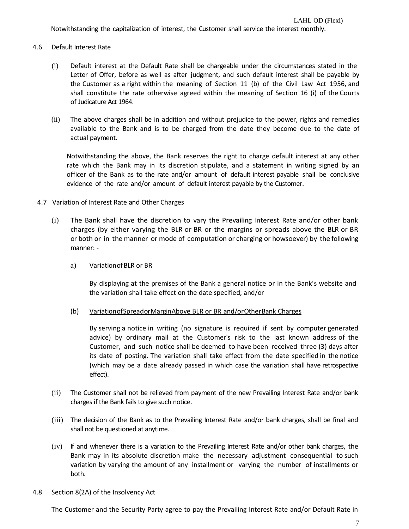Notwithstanding the capitalization of interest, the Customer shall service the interest monthly.

# 4.6 Default Interest Rate

- (i) Default interest at the Default Rate shall be chargeable under the circumstances stated in the Letter of Offer, before as well as after judgment, and such default interest shall be payable by the Customer as a right within the meaning of Section 11 (b) of the Civil Law Act 1956, and shall constitute the rate otherwise agreed within the meaning of Section 16 (i) of the Courts of Judicature Act 1964.
- (ii) The above charges shall be in addition and without prejudice to the power, rights and remedies available to the Bank and is to be charged from the date they become due to the date of actual payment.

Notwithstanding the above, the Bank reserves the right to charge default interest at any other rate which the Bank may in its discretion stipulate, and a statement in writing signed by an officer of the Bank as to the rate and/or amount of default interest payable shall be conclusive evidence of the rate and/or amount of default interest payable by the Customer.

# 4.7 Variation of Interest Rate and Other Charges

(i) The Bank shall have the discretion to vary the Prevailing Interest Rate and/or other bank charges (by either varying the BLR or BR or the margins or spreads above the BLR or BR or both or in the manner or mode of computation or charging or howsoever) by the following manner: -

# a) VariationofBLR or BR

By displaying at the premises of the Bank a general notice or in the Bank's website and the variation shall take effect on the date specified; and/or

# (b) VariationofSpreadorMarginAbove BLR or BR and/orOtherBank Charges

By serving a notice in writing (no signature is required if sent by computer generated advice) by ordinary mail at the Customer's risk to the last known address of the Customer, and such notice shall be deemed to have been received three (3) days after its date of posting. The variation shall take effect from the date specified in the notice (which may be a date already passed in which case the variation shall have retrospective effect).

- (ii) The Customer shall not be relieved from payment of the new Prevailing Interest Rate and/or bank charges if the Bank fails to give such notice.
- (iii) The decision of the Bank as to the Prevailing Interest Rate and/or bank charges, shall be final and shall not be questioned at anytime.
- (iv) If and whenever there is a variation to the Prevailing Interest Rate and/or other bank charges, the Bank may in its absolute discretion make the necessary adjustment consequential to such variation by varying the amount of any installment or varying the number of installments or both.

# 4.8 Section 8(2A) of the Insolvency Act

The Customer and the Security Party agree to pay the Prevailing Interest Rate and/or Default Rate in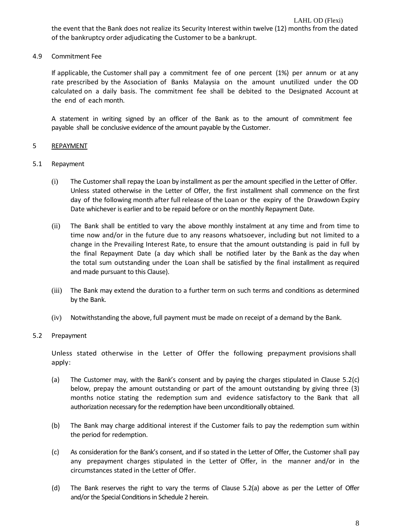4.9 Commitment Fee

If applicable, the Customer shall pay a commitment fee of one percent (1%) per annum or at any rate prescribed by the Association of Banks Malaysia on the amount unutilized under the OD calculated on a daily basis. The commitment fee shall be debited to the Designated Account at the end of each month.

A statement in writing signed by an officer of the Bank as to the amount of commitment fee payable shall be conclusive evidence of the amount payable by the Customer.

# 5 REPAYMENT

# 5.1 Repayment

- (i) The Customer shall repay the Loan by installment as per the amount specified in the Letter of Offer. Unless stated otherwise in the Letter of Offer, the first installment shall commence on the first day of the following month after full release of the Loan or the expiry of the Drawdown Expiry Date whichever is earlier and to be repaid before or on the monthly Repayment Date.
- (ii) The Bank shall be entitled to vary the above monthly instalment at any time and from time to time now and/or in the future due to any reasons whatsoever, including but not limited to a change in the Prevailing Interest Rate, to ensure that the amount outstanding is paid in full by the final Repayment Date (a day which shall be notified later by the Bank as the day when the total sum outstanding under the Loan shall be satisfied by the final installment as required and made pursuant to this Clause).
- (iii) The Bank may extend the duration to a further term on such terms and conditions as determined by the Bank.
- (iv) Notwithstanding the above, full payment must be made on receipt of a demand by the Bank.

# 5.2 Prepayment

Unless stated otherwise in the Letter of Offer the following prepayment provisions shall apply:

- (a) The Customer may, with the Bank's consent and by paying the charges stipulated in Clause 5.2(c) below, prepay the amount outstanding or part of the amount outstanding by giving three (3) months notice stating the redemption sum and evidence satisfactory to the Bank that all authorization necessary for the redemption have been unconditionally obtained.
- (b) The Bank may charge additional interest if the Customer fails to pay the redemption sum within the period for redemption.
- (c) As consideration for the Bank's consent, and if so stated in the Letter of Offer, the Customer shall pay any prepayment charges stipulated in the Letter of Offer, in the manner and/or in the circumstances stated in the Letter of Offer.
- (d) The Bank reserves the right to vary the terms of Clause 5.2(a) above as per the Letter of Offer and/or the Special Conditions in Schedule 2 herein.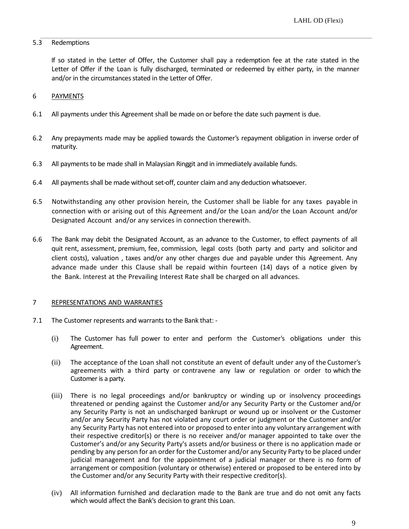# 5.3 Redemptions

If so stated in the Letter of Offer, the Customer shall pay a redemption fee at the rate stated in the Letter of Offer if the Loan is fully discharged, terminated or redeemed by either party, in the manner and/or in the circumstances stated in the Letter of Offer.

# 6 PAYMENTS

- 6.1 All payments under this Agreement shall be made on or before the date such payment is due.
- 6.2 Any prepayments made may be applied towards the Customer's repayment obligation in inverse order of maturity.
- 6.3 All payments to be made shall in Malaysian Ringgit and in immediately available funds.
- 6.4 All payments shall be made without set-off, counter claim and any deduction whatsoever.
- 6.5 Notwithstanding any other provision herein, the Customer shall be liable for any taxes payable in connection with or arising out of this Agreement and/or the Loan and/or the Loan Account and/or Designated Account and/or any services in connection therewith.
- 6.6 The Bank may debit the Designated Account, as an advance to the Customer, to effect payments of all quit rent, assessment, premium, fee, commission, legal costs (both party and party and solicitor and client costs), valuation , taxes and/or any other charges due and payable under this Agreement. Any advance made under this Clause shall be repaid within fourteen (14) days of a notice given by the Bank. Interest at the Prevailing Interest Rate shall be charged on all advances.

#### 7 REPRESENTATIONS AND WARRANTIES

- 7.1 The Customer represents and warrants to the Bank that:
	- (i) The Customer has full power to enter and perform the Customer's obligations under this Agreement.
	- (ii) The acceptance of the Loan shall not constitute an event of default under any of the Customer's agreements with a third party or contravene any law or regulation or order to which the Customer is a party.
	- (iii) There is no legal proceedings and/or bankruptcy or winding up or insolvency proceedings threatened or pending against the Customer and/or any Security Party or the Customer and/or any Security Party is not an undischarged bankrupt or wound up or insolvent or the Customer and/or any Security Party has not violated any court order or judgment or the Customer and/or any Security Party has not entered into or proposed to enter into any voluntary arrangement with their respective creditor(s) or there is no receiver and/or manager appointed to take over the Customer's and/or any Security Party's assets and/or business or there is no application made or pending by any person for an order for the Customer and/or any Security Party to be placed under judicial management and for the appointment of a judicial manager or there is no form of arrangement or composition (voluntary or otherwise) entered or proposed to be entered into by the Customer and/or any Security Party with their respective creditor(s).
	- (iv) All information furnished and declaration made to the Bank are true and do not omit any facts which would affect the Bank's decision to grant this Loan.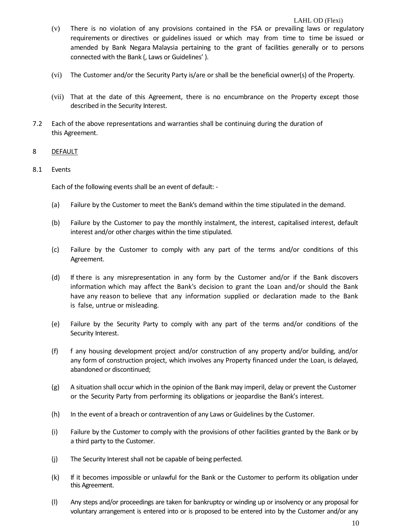### LAHL OD (Flexi)

- (v) There is no violation of any provisions contained in the FSA or prevailing laws or regulatory requirements or directives or guidelines issued or which may from time to time be issued or amended by Bank Negara Malaysia pertaining to the grant of facilities generally or to persons connected with the Bank (, Laws or Guidelines' ).
- (vi) The Customer and/or the Security Party is/are or shall be the beneficial owner(s) of the Property.
- (vii) That at the date of this Agreement, there is no encumbrance on the Property except those described in the Security Interest.
- 7.2 Each of the above representations and warranties shall be continuing during the duration of this Agreement.

# 8 DEFAULT

# 8.1 Events

Each of the following events shall be an event of default: -

- (a) Failure by the Customer to meet the Bank's demand within the time stipulated in the demand.
- (b) Failure by the Customer to pay the monthly instalment, the interest, capitalised interest, default interest and/or other charges within the time stipulated.
- (c) Failure by the Customer to comply with any part of the terms and/or conditions of this Agreement.
- (d) If there is any misrepresentation in any form by the Customer and/or if the Bank discovers information which may affect the Bank's decision to grant the Loan and/or should the Bank have any reason to believe that any information supplied or declaration made to the Bank is false, untrue or misleading.
- (e) Failure by the Security Party to comply with any part of the terms and/or conditions of the Security Interest.
- (f) f any housing development project and/or construction of any property and/or building, and/or any form of construction project, which involves any Property financed under the Loan, is delayed, abandoned or discontinued;
- (g) A situation shall occur which in the opinion of the Bank may imperil, delay or prevent the Customer or the Security Party from performing its obligations or jeopardise the Bank's interest.
- (h) In the event of a breach or contravention of any Laws or Guidelines by the Customer.
- (i) Failure by the Customer to comply with the provisions of other facilities granted by the Bank or by a third party to the Customer.
- (j) The Security Interest shall not be capable of being perfected.
- (k) If it becomes impossible or unlawful for the Bank or the Customer to perform its obligation under this Agreement.
- (l) Any steps and/or proceedings are taken for bankruptcy or winding up or insolvency or any proposal for voluntary arrangement is entered into or is proposed to be entered into by the Customer and/or any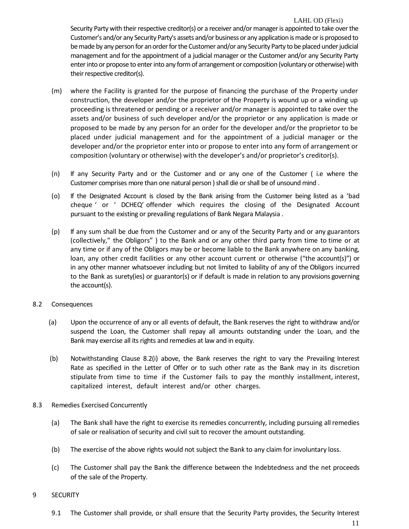#### LAHL OD (Flexi)

Security Party with their respective creditor(s) or a receiver and/or manager is appointed to take over the Customer's and/or any Security Party's assets and/or business or any application is made or is proposed to be made by any person for an order for the Customer and/or any Security Party to be placed under judicial management and for the appointment of a judicial manager or the Customer and/or any Security Party enter into or propose to enter into any form of arrangement or composition (voluntary or otherwise) with their respective creditor(s).

- (m) where the Facility is granted for the purpose of financing the purchase of the Property under construction, the developer and/or the proprietor of the Property is wound up or a winding up proceeding is threatened or pending or a receiver and/or manager is appointed to take over the assets and/or business of such developer and/or the proprietor or any application is made or proposed to be made by any person for an order for the developer and/or the proprietor to be placed under judicial management and for the appointment of a judicial manager or the developer and/or the proprietor enter into or propose to enter into any form of arrangement or composition (voluntary or otherwise) with the developer's and/or proprietor's creditor(s).
- (n) If any Security Party and or the Customer and or any one of the Customer ( i.e where the Customer comprises more than one natural person ) shall die or shall be of unsound mind .
- (o) If the Designated Account is closed by the Bank arising from the Customer being listed as a 'bad cheque ' or ' DCHEQ' offender which requires the closing of the Designated Account pursuant to the existing or prevailing regulations of Bank Negara Malaysia .
- (p) If any sum shall be due from the Customer and or any of the Security Party and or any guarantors (collectively," the Obligors" ) to the Bank and or any other third party from time to time or at any time or if any of the Obligors may be or become liable to the Bank anywhere on any banking, loan, any other credit facilities or any other account current or otherwise ("the account(s)") or in any other manner whatsoever including but not limited to liability of any of the Obligors incurred to the Bank as surety(ies) or guarantor(s) or if default is made in relation to any provisions governing the account(s).

#### 8.2 Consequences

- (a) Upon the occurrence of any or all events of default, the Bank reserves the right to withdraw and/or suspend the Loan, the Customer shall repay all amounts outstanding under the Loan, and the Bank may exercise all its rights and remedies at law and in equity.
- (b) Notwithstanding Clause 8.2(i) above, the Bank reserves the right to vary the Prevailing Interest Rate as specified in the Letter of Offer or to such other rate as the Bank may in its discretion stipulate from time to time if the Customer fails to pay the monthly installment, interest, capitalized interest, default interest and/or other charges.

#### 8.3 Remedies Exercised Concurrently

- (a) The Bank shall have the right to exercise its remedies concurrently, including pursuing all remedies of sale or realisation of security and civil suit to recover the amount outstanding.
- (b) The exercise of the above rights would not subject the Bank to any claim for involuntary loss.
- (c) The Customer shall pay the Bank the difference between the Indebtedness and the net proceeds of the sale of the Property.

#### 9 SECURITY

9.1 The Customer shall provide, or shall ensure that the Security Party provides, the Security Interest

11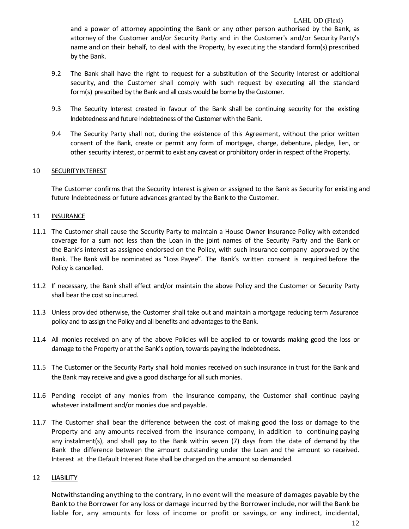and a power of attorney appointing the Bank or any other person authorised by the Bank, as attorney of the Customer and/or Security Party and in the Customer's and/or Security Party's name and on their behalf, to deal with the Property, by executing the standard form(s) prescribed by the Bank.

- 9.2 The Bank shall have the right to request for a substitution of the Security Interest or additional security, and the Customer shall comply with such request by executing all the standard form(s) prescribed by the Bank and all costs would be borne by the Customer.
- 9.3 The Security Interest created in favour of the Bank shall be continuing security for the existing Indebtedness and future Indebtedness of the Customer with the Bank.
- 9.4 The Security Party shall not, during the existence of this Agreement, without the prior written consent of the Bank, create or permit any form of mortgage, charge, debenture, pledge, lien, or other security interest, or permit to exist any caveat or prohibitory order in respect of the Property.

# 10 SECURITYINTEREST

The Customer confirms that the Security Interest is given or assigned to the Bank as Security for existing and future Indebtedness or future advances granted by the Bank to the Customer.

#### 11 **INSURANCE**

- 11.1 The Customer shall cause the Security Party to maintain a House Owner Insurance Policy with extended coverage for a sum not less than the Loan in the joint names of the Security Party and the Bank or the Bank's interest as assignee endorsed on the Policy, with such insurance company approved by the Bank. The Bank will be nominated as "Loss Payee". The Bank's written consent is required before the Policy is cancelled.
- 11.2 If necessary, the Bank shall effect and/or maintain the above Policy and the Customer or Security Party shall bear the cost so incurred.
- 11.3 Unless provided otherwise, the Customer shall take out and maintain a mortgage reducing term Assurance policy and to assign the Policy and all benefits and advantages to the Bank.
- 11.4 All monies received on any of the above Policies will be applied to or towards making good the loss or damage to the Property or at the Bank's option, towards paying the Indebtedness.
- 11.5 The Customer or the Security Party shall hold monies received on such insurance in trust for the Bank and the Bank may receive and give a good discharge for all such monies.
- 11.6 Pending receipt of any monies from the insurance company, the Customer shall continue paying whatever installment and/or monies due and payable.
- 11.7 The Customer shall bear the difference between the cost of making good the loss or damage to the Property and any amounts received from the insurance company, in addition to continuing paying any instalment(s), and shall pay to the Bank within seven (7) days from the date of demand by the Bank the difference between the amount outstanding under the Loan and the amount so received. Interest at the Default Interest Rate shall be charged on the amount so demanded.

#### 12 LIABILITY

Notwithstanding anything to the contrary, in no event will the measure of damages payable by the Bank to the Borrower for any loss or damage incurred by the Borrower include, nor will the Bank be liable for, any amounts for loss of income or profit or savings, or any indirect, incidental,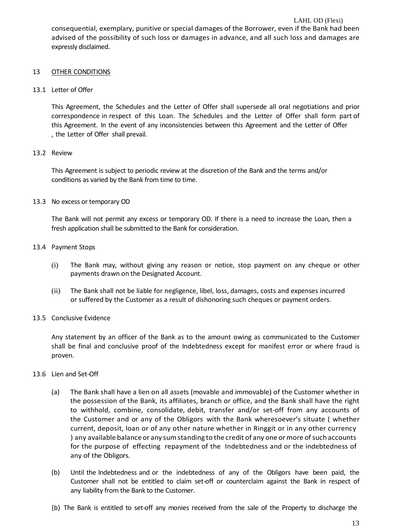LAHL OD (Flexi) consequential, exemplary, punitive or special damages of the Borrower, even if the Bank had been advised of the possibility of such loss or damages in advance, and all such loss and damages are expressly disclaimed.

# 13 OTHER CONDITIONS

# 13.1 Letter of Offer

This Agreement, the Schedules and the Letter of Offer shall supersede all oral negotiations and prior correspondence in respect of this Loan. The Schedules and the Letter of Offer shall form part of this Agreement. In the event of any inconsistencies between this Agreement and the Letter of Offer , the Letter of Offer shall prevail.

# 13.2 Review

This Agreement is subject to periodic review at the discretion of the Bank and the terms and/or conditions as varied by the Bank from time to time.

# 13.3 No excess or temporary OD

The Bank will not permit any excess or temporary OD. If there is a need to increase the Loan, then a fresh application shall be submitted to the Bank for consideration.

# 13.4 Payment Stops

- (i) The Bank may, without giving any reason or notice, stop payment on any cheque or other payments drawn on the Designated Account.
- (ii) The Bank shall not be liable for negligence, libel, loss, damages, costs and expenses incurred or suffered by the Customer as a result of dishonoring such cheques or payment orders.

# 13.5 Conclusive Evidence

Any statement by an officer of the Bank as to the amount owing as communicated to the Customer shall be final and conclusive proof of the Indebtedness except for manifest error or where fraud is proven.

# 13.6 Lien and Set-Off

- (a) The Bank shall have a lien on all assets (movable and immovable) of the Customer whether in the possession of the Bank, its affiliates, branch or office, and the Bank shall have the right to withhold, combine, consolidate, debit, transfer and/or set-off from any accounts of the Customer and or any of the Obligors with the Bank wheresoever's situate ( whether current, deposit, loan or of any other nature whether in Ringgit or in any other currency ) any available balance or any sum standing to the credit of any one or more of such accounts for the purpose of effecting repayment of the Indebtedness and or the indebtedness of any of the Obligors.
- (b) Until the Indebtedness and or the indebtedness of any of the Obligors have been paid, the Customer shall not be entitled to claim set-off or counterclaim against the Bank in respect of any liability from the Bank to the Customer.
- (b) The Bank is entitled to set-off any monies received from the sale of the Property to discharge the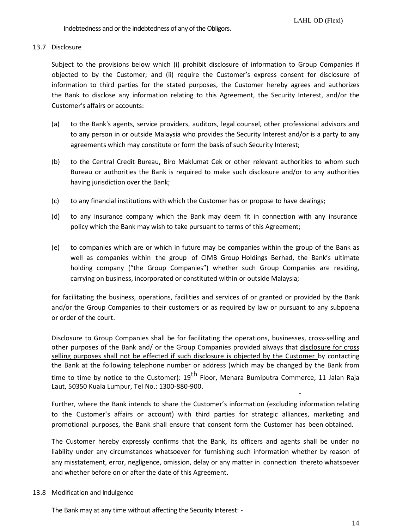# 13.7 Disclosure

Subject to the provisions below which (i) prohibit disclosure of information to Group Companies if objected to by the Customer; and (ii) require the Customer's express consent for disclosure of information to third parties for the stated purposes, the Customer hereby agrees and authorizes the Bank to disclose any information relating to this Agreement, the Security Interest, and/or the Customer's affairs or accounts:

- (a) to the Bank's agents, service providers, auditors, legal counsel, other professional advisors and to any person in or outside Malaysia who provides the Security Interest and/or is a party to any agreements which may constitute or form the basis of such Security Interest;
- (b) to the Central Credit Bureau, Biro Maklumat Cek or other relevant authorities to whom such Bureau or authorities the Bank is required to make such disclosure and/or to any authorities having jurisdiction over the Bank;
- (c) to any financial institutions with which the Customer has or propose to have dealings;
- (d) to any insurance company which the Bank may deem fit in connection with any insurance policy which the Bank may wish to take pursuant to terms of this Agreement;
- (e) to companies which are or which in future may be companies within the group of the Bank as well as companies within the group of CIMB Group Holdings Berhad, the Bank's ultimate holding company ("the Group Companies") whether such Group Companies are residing, carrying on business, incorporated or constituted within or outside Malaysia;

for facilitating the business, operations, facilities and services of or granted or provided by the Bank and/or the Group Companies to their customers or as required by law or pursuant to any subpoena or order of the court.

Disclosure to Group Companies shall be for facilitating the operations, businesses, cross-selling and other purposes of the Bank and/ or the Group Companies provided always that disclosure for cross selling purposes shall not be effected if such disclosure is objected by the Customer by contacting the Bank at the following telephone number or address (which may be changed by the Bank from time to time by notice to the Customer): 19<sup>th</sup> Floor, Menara Bumiputra Commerce, 11 Jalan Raja Laut, 50350 Kuala Lumpur, Tel No.: 1300-880-900.

Further, where the Bank intends to share the Customer's information (excluding information relating to the Customer's affairs or account) with third parties for strategic alliances, marketing and promotional purposes, the Bank shall ensure that consent form the Customer has been obtained.

The Customer hereby expressly confirms that the Bank, its officers and agents shall be under no liability under any circumstances whatsoever for furnishing such information whether by reason of any misstatement, error, negligence, omission, delay or any matter in connection thereto whatsoever and whether before on or after the date of this Agreement.

# 13.8 Modification and Indulgence

The Bank may at any time without affecting the Security Interest: -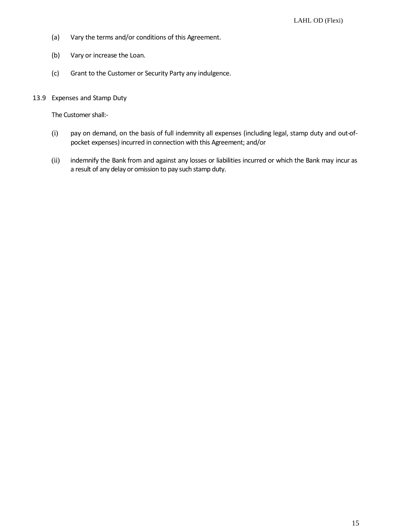- (a) Vary the terms and/or conditions of this Agreement.
- (b) Vary or increase the Loan.
- (c) Grant to the Customer or Security Party any indulgence.
- 13.9 Expenses and Stamp Duty

The Customer shall:-

- (i) pay on demand, on the basis of full indemnity all expenses (including legal, stamp duty and out-ofpocket expenses) incurred in connection with this Agreement; and/or
- (ii) indemnify the Bank from and against any losses or liabilities incurred or which the Bank may incur as a result of any delay or omission to pay such stamp duty.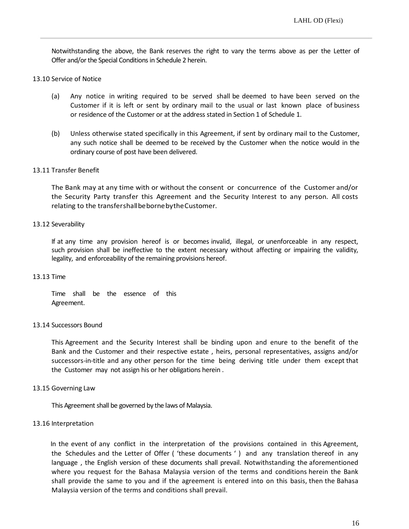Notwithstanding the above, the Bank reserves the right to vary the terms above as per the Letter of Offer and/or the Special Conditions in Schedule 2 herein.

### 13.10 Service of Notice

- (a) Any notice in writing required to be served shall be deemed to have been served on the Customer if it is left or sent by ordinary mail to the usual or last known place of business or residence of the Customer or at the address stated in Section 1 of Schedule 1.
- (b) Unless otherwise stated specifically in this Agreement, if sent by ordinary mail to the Customer, any such notice shall be deemed to be received by the Customer when the notice would in the ordinary course of post have been delivered.

# 13.11 Transfer Benefit

The Bank may at any time with or without the consent or concurrence of the Customer and/or the Security Party transfer this Agreement and the Security Interest to any person. All costs relating to the transfershallbebornebytheCustomer.

# 13.12 Severability

If at any time any provision hereof is or becomes invalid, illegal, or unenforceable in any respect, such provision shall be ineffective to the extent necessary without affecting or impairing the validity, legality, and enforceability of the remaining provisions hereof.

#### 13.13 Time

Time shall be the essence of this Agreement.

#### 13.14 Successors Bound

This Agreement and the Security Interest shall be binding upon and enure to the benefit of the Bank and the Customer and their respective estate , heirs, personal representatives, assigns and/or successors-in-title and any other person for the time being deriving title under them except that the Customer may not assign his or her obligations herein .

#### 13.15 Governing Law

This Agreement shall be governed by the laws of Malaysia.

#### 13.16 Interpretation

In the event of any conflict in the interpretation of the provisions contained in this Agreement, the Schedules and the Letter of Offer ( 'these documents ' ) and any translation thereof in any language , the English version of these documents shall prevail. Notwithstanding the aforementioned where you request for the Bahasa Malaysia version of the terms and conditions herein the Bank shall provide the same to you and if the agreement is entered into on this basis, then the Bahasa Malaysia version of the terms and conditions shall prevail.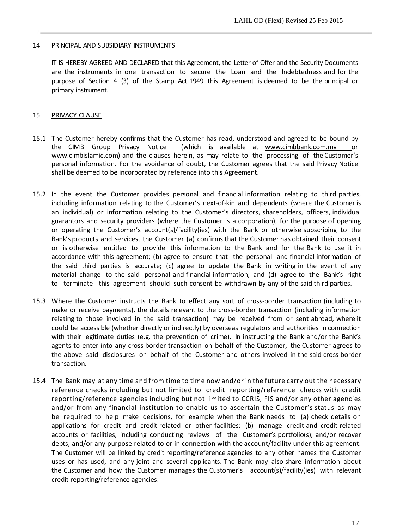# 14 PRINCIPAL AND SUBSIDIARY INSTRUMENTS

IT IS HEREBY AGREED AND DECLARED that this Agreement, the Letter of Offer and the Security Documents are the instruments in one transaction to secure the Loan and the Indebtedness and for the purpose of Section 4 (3) of the Stamp Act 1949 this Agreement is deemed to be the principal or primary instrument.

# 15 PRIVACY CLAUSE

- 15.1 The Customer hereby confirms that the Customer has read, understood and agreed to be bound by the CIMB Group Privacy Notice (which is available at [www.cimbbank.com.my](http://www.cimbbank.com.my/) or www.cimbislamic.com) and the clauses herein, as may relate to the processing of the Customer's personal information. For the avoidance of doubt, the Customer agrees that the said Privacy Notice shall be deemed to be incorporated by reference into this Agreement.
- 15.2 In the event the Customer provides personal and financial information relating to third parties, including information relating to the Customer's next-of-kin and dependents (where the Customer is an individual) or information relating to the Customer's directors, shareholders, officers, individual guarantors and security providers (where the Customer is a corporation), for the purpose of opening or operating the Customer's account(s)/facility(ies) with the Bank or otherwise subscribing to the Bank's products and services, the Customer (a) confirms that the Customer has obtained their consent or is otherwise entitled to provide this information to the Bank and for the Bank to use it in accordance with this agreement; (b) agree to ensure that the personal and financial information of the said third parties is accurate; (c) agree to update the Bank in writing in the event of any material change to the said personal and financial information; and (d) agree to the Bank's right to terminate this agreement should such consent be withdrawn by any of the said third parties.
- 15.3 Where the Customer instructs the Bank to effect any sort of cross-border transaction (including to make or receive payments), the details relevant to the cross-border transaction (including information relating to those involved in the said transaction) may be received from or sent abroad, where it could be accessible (whether directly or indirectly) by overseas regulators and authorities in connection with their legitimate duties (e.g. the prevention of crime). In instructing the Bank and/or the Bank's agents to enter into any cross-border transaction on behalf of the Customer, the Customer agrees to the above said disclosures on behalf of the Customer and others involved in the said cross-border transaction.
- 15.4 The Bank may at any time and from time to time now and/or in the future carry out the necessary reference checks including but not limited to credit reporting/reference checks with credit reporting/reference agencies including but not limited to CCRIS, FIS and/or any other agencies and/or from any financial institution to enable us to ascertain the Customer's status as may be required to help make decisions, for example when the Bank needs to (a) check details on applications for credit and credit-related or other facilities; (b) manage credit and credit-related accounts or facilities, including conducting reviews of the Customer's portfolio(s); and/or recover debts, and/or any purpose related to or in connection with the account/facility under this agreement. The Customer will be linked by credit reporting/reference agencies to any other names the Customer uses or has used, and any joint and several applicants. The Bank may also share information about the Customer and how the Customer manages the Customer's account(s)/facility(ies) with relevant credit reporting/reference agencies.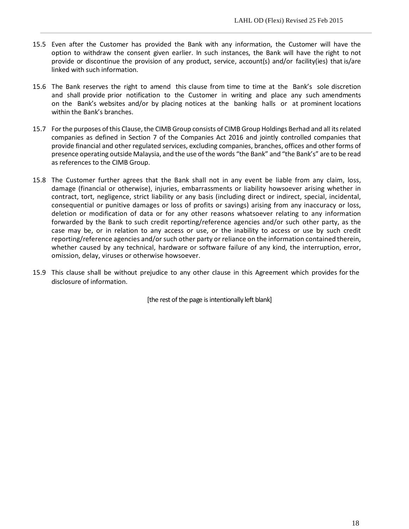- 15.5 Even after the Customer has provided the Bank with any information, the Customer will have the option to withdraw the consent given earlier. In such instances, the Bank will have the right to not provide or discontinue the provision of any product, service, account(s) and/or facility(ies) that is/are linked with such information.
- 15.6 The Bank reserves the right to amend this clause from time to time at the Bank's sole discretion and shall provide prior notification to the Customer in writing and place any such amendments on the Bank's websites and/or by placing notices at the banking halls or at prominent locations within the Bank's branches.
- 15.7 For the purposes of this Clause, the CIMB Group consists of CIMB Group Holdings Berhad and all its related companies as defined in Section 7 of the Companies Act 2016 and jointly controlled companies that provide financial and other regulated services, excluding companies, branches, offices and other forms of presence operating outside Malaysia, and the use of the words "the Bank" and "the Bank's" are to be read as references to the CIMB Group.
- 15.8 The Customer further agrees that the Bank shall not in any event be liable from any claim, loss, damage (financial or otherwise), injuries, embarrassments or liability howsoever arising whether in contract, tort, negligence, strict liability or any basis (including direct or indirect, special, incidental, consequential or punitive damages or loss of profits or savings) arising from any inaccuracy or loss, deletion or modification of data or for any other reasons whatsoever relating to any information forwarded by the Bank to such credit reporting/reference agencies and/or such other party, as the case may be, or in relation to any access or use, or the inability to access or use by such credit reporting/reference agencies and/or such other party or reliance on the information contained therein, whether caused by any technical, hardware or software failure of any kind, the interruption, error, omission, delay, viruses or otherwise howsoever.
- 15.9 This clause shall be without prejudice to any other clause in this Agreement which provides for the disclosure of information.

[the rest of the page is intentionally left blank]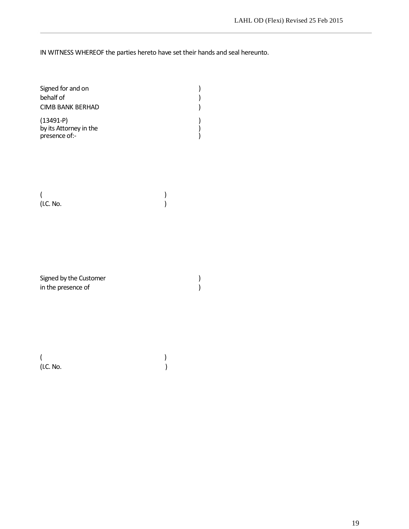IN WITNESS WHEREOF the parties hereto have set their hands and seal hereunto.

| Signed for and on<br>behalf of<br><b>CIMB BANK BERHAD</b> |  |
|-----------------------------------------------------------|--|
| $(13491-P)$<br>by its Attorney in the<br>presence of:-    |  |

 $($ (I.C. No. )

Signed by the Customer ) <br>in the presence of ) in the presence of

(and  $\overline{\phantom{a}}$ ) (I.C. No. )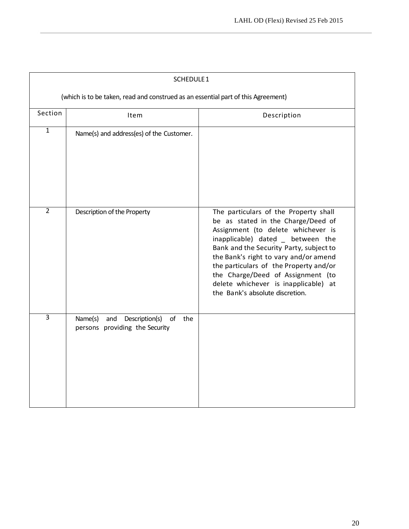| SCHEDULE 1                                                                        |                                                                              |                                                                                                                                                                                                                                                                                                                                                                                                      |  |  |  |  |
|-----------------------------------------------------------------------------------|------------------------------------------------------------------------------|------------------------------------------------------------------------------------------------------------------------------------------------------------------------------------------------------------------------------------------------------------------------------------------------------------------------------------------------------------------------------------------------------|--|--|--|--|
| (which is to be taken, read and construed as an essential part of this Agreement) |                                                                              |                                                                                                                                                                                                                                                                                                                                                                                                      |  |  |  |  |
| Section                                                                           | Item                                                                         | Description                                                                                                                                                                                                                                                                                                                                                                                          |  |  |  |  |
| $\overline{1}$                                                                    | Name(s) and address(es) of the Customer.                                     |                                                                                                                                                                                                                                                                                                                                                                                                      |  |  |  |  |
| $\overline{2}$                                                                    | Description of the Property                                                  | The particulars of the Property shall<br>be as stated in the Charge/Deed of<br>Assignment (to delete whichever is<br>inapplicable) dated _ between the<br>Bank and the Security Party, subject to<br>the Bank's right to vary and/or amend<br>the particulars of the Property and/or<br>the Charge/Deed of Assignment (to<br>delete whichever is inapplicable) at<br>the Bank's absolute discretion. |  |  |  |  |
| $\overline{3}$                                                                    | Name(s)<br>and Description(s)<br>the<br>of<br>persons providing the Security |                                                                                                                                                                                                                                                                                                                                                                                                      |  |  |  |  |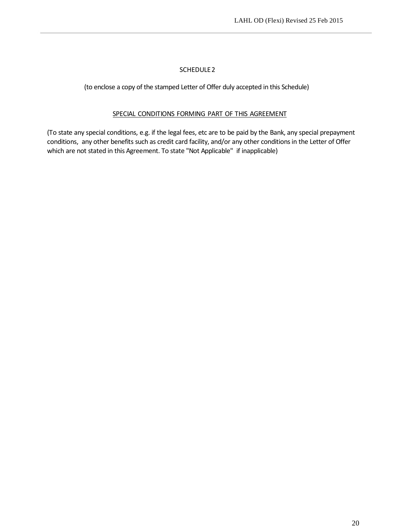# SCHEDULE2

(to enclose a copy of the stamped Letter of Offer duly accepted in this Schedule)

# SPECIAL CONDITIONS FORMING PART OF THIS AGREEMENT

(To state any special conditions, e.g. if the legal fees, etc are to be paid by the Bank, any special prepayment conditions, any other benefits such as credit card facility, and/or any other conditionsin the Letter of Offer which are not stated in this Agreement. To state "Not Applicable" if inapplicable)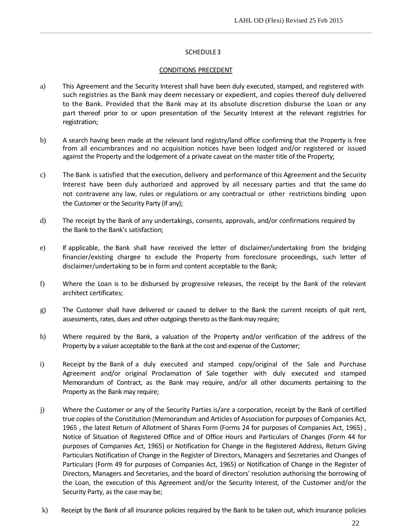### SCHEDULE3

### CONDITIONS PRECEDENT

- a) This Agreement and the Security Interest shall have been duly executed, stamped, and registered with such registries as the Bank may deem necessary or expedient, and copies thereof duly delivered to the Bank. Provided that the Bank may at its absolute discretion disburse the Loan or any part thereof prior to or upon presentation of the Security Interest at the relevant registries for registration;
- b) A search having been made at the relevant land registry/land office confirming that the Property is free from all encumbrances and no acquisition notices have been lodged and/or registered or issued against the Property and the lodgement of a private caveat on the master title of the Property;
- c) The Bank is satisfied that the execution, delivery and performance of this Agreement and the Security Interest have been duly authorized and approved by all necessary parties and that the same do not contravene any law, rules or regulations or any contractual or other restrictions binding upon the Customer or the Security Party (if any);
- d) The receipt by the Bank of any undertakings, consents, approvals, and/or confirmations required by the Bank to the Bank's satisfaction;
- e) If applicable, the Bank shall have received the letter of disclaimer/undertaking from the bridging financier/existing chargee to exclude the Property from foreclosure proceedings, such letter of disclaimer/undertaking to be in form and content acceptable to the Bank;
- f) Where the Loan is to be disbursed by progressive releases, the receipt by the Bank of the relevant architect certificates;
- g) The Customer shall have delivered or caused to deliver to the Bank the current receipts of quit rent, assessments, rates, dues and other outgoings thereto as the Bank may require;
- h) Where required by the Bank, a valuation of the Property and/or verification of the address of the Property by a valuer acceptable to the Bank at the cost and expense of the Customer;
- i) Receipt by the Bank of a duly executed and stamped copy/original of the Sale and Purchase Agreement and/or original Proclamation of Sale together with duly executed and stamped Memorandum of Contract, as the Bank may require, and/or all other documents pertaining to the Property as the Bank may require;
- j) Where the Customer or any of the Security Parties is/are a corporation, receipt by the Bank of certified true copies of the Constitution (Memorandum and Articles of Association for purposes of Companies Act, 1965 , the latest Return of Allotment of Shares Form (Forms 24 for purposes of Companies Act, 1965) , Notice of Situation of Registered Office and of Office Hours and Particulars of Changes (Form 44 for purposes of Companies Act, 1965) or Notification for Change in the Registered Address, Return Giving Particulars Notification of Change in the Register of Directors, Managers and Secretaries and Changes of Particulars (Form 49 for purposes of Companies Act, 1965) or Notification of Change in the Register of Directors, Managers and Secretaries, and the board of directors' resolution authorising the borrowing of the Loan, the execution of this Agreement and/or the Security Interest, of the Customer and/or the Security Party, as the case may be;
- k) Receipt by the Bank of all insurance policies required by the Bank to be taken out, which insurance policies